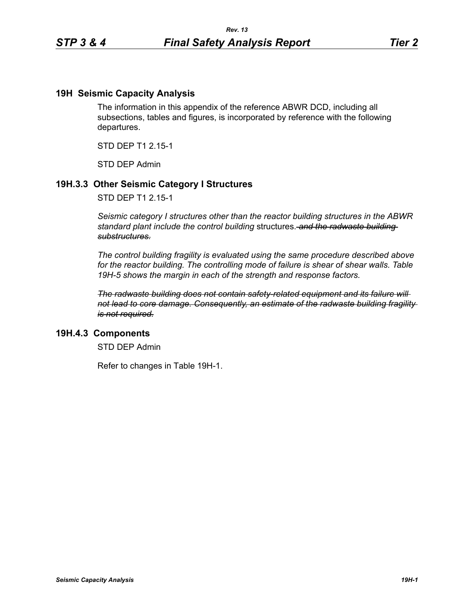## **19H Seismic Capacity Analysis**

The information in this appendix of the reference ABWR DCD, including all subsections, tables and figures, is incorporated by reference with the following departures.

STD DEP T1 2.15-1

STD DEP Admin

# **19H.3.3 Other Seismic Category I Structures**

STD DEP T1 2.15-1

*Seismic category I structures other than the reactor building structures in the ABWR standard plant include the control building* structures. *and the radwaste building substructures.*

*The control building fragility is evaluated using the same procedure described above for the reactor building. The controlling mode of failure is shear of shear walls. Table 19H-5 shows the margin in each of the strength and response factors.*

*The radwaste building does not contain safety-related equipment and its failure will not lead to core damage. Consequently, an estimate of the radwaste building fragility is not required.*

## **19H.4.3 Components**

STD DEP Admin

Refer to changes in Table 19H-1.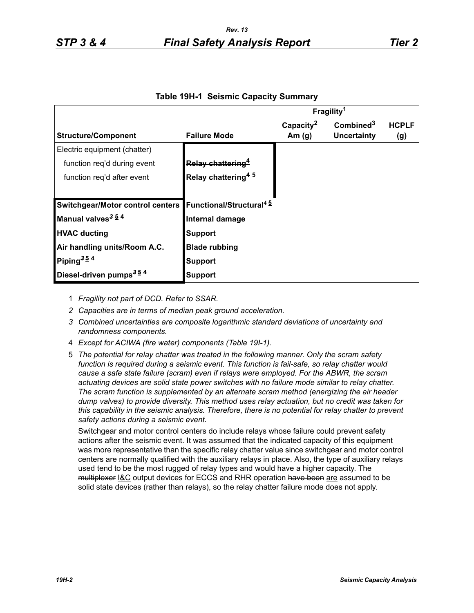|                                         |                                            | Fragility <sup>1</sup> |                       |              |
|-----------------------------------------|--------------------------------------------|------------------------|-----------------------|--------------|
|                                         |                                            | Capacity <sup>2</sup>  | Combined <sup>3</sup> | <b>HCPLF</b> |
| <b>Structure/Component</b>              | <b>Failure Mode</b>                        | Am $(g)$               | Uncertainty           | (g)          |
| Electric equipment (chatter)            |                                            |                        |                       |              |
| function reg'd during event             | Relay chattering <sup>4</sup>              |                        |                       |              |
| function reg'd after event              | Relay chattering <sup>45</sup>             |                        |                       |              |
|                                         |                                            |                        |                       |              |
| <b>Switchgear/Motor control centers</b> | <b>Functional/Structural</b> <sup>45</sup> |                        |                       |              |
| Manual valves <sup>3 54</sup>           | Internal damage                            |                        |                       |              |
| <b>HVAC ducting</b>                     | <b>Support</b>                             |                        |                       |              |
| Air handling units/Room A.C.            | <b>Blade rubbing</b>                       |                        |                       |              |
| Piping <sup>354</sup>                   | <b>Support</b>                             |                        |                       |              |
| Diesel-driven pumps <sup>354</sup>      | Support                                    |                        |                       |              |

## **Table 19H-1 Seismic Capacity Summary**

- 1 *Fragility not part of DCD. Refer to SSAR.*
- *2 Capacities are in terms of median peak ground acceleration.*
- *3 Combined uncertainties are composite logarithmic standard deviations of uncertainty and randomness components.*
- 4 *Except for ACIWA (fire water) components (Table 19I-1).*
- 5 *The potential for relay chatter was treated in the following manner. Only the scram safety function is required during a seismic event. This function is fail-safe, so relay chatter would cause a safe state failure (scram) even if relays were employed. For the ABWR, the scram actuating devices are solid state power switches with no failure mode similar to relay chatter. The scram function is supplemented by an alternate scram method (energizing the air header dump valves) to provide diversity. This method uses relay actuation, but no credit was taken for this capability in the seismic analysis. Therefore, there is no potential for relay chatter to prevent safety actions during a seismic event.*

Switchgear and motor control centers do include relays whose failure could prevent safety actions after the seismic event. It was assumed that the indicated capacity of this equipment was more representative than the specific relay chatter value since switchgear and motor control centers are normally qualified with the auxiliary relays in place. Also, the type of auxiliary relays used tend to be the most rugged of relay types and would have a higher capacity. The multiplexer **I&C** output devices for ECCS and RHR operation have been are assumed to be solid state devices (rather than relays), so the relay chatter failure mode does not apply.